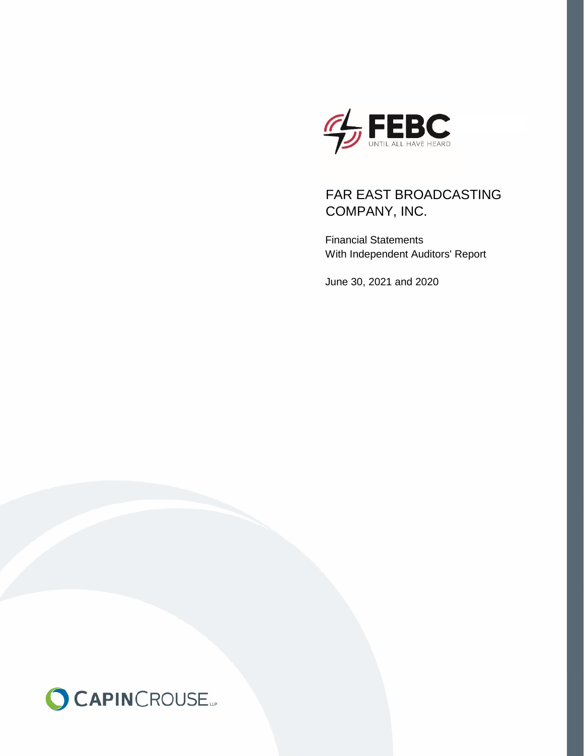

Financial Statements With Independent Auditors' Report

June 30, 2021 and 2020

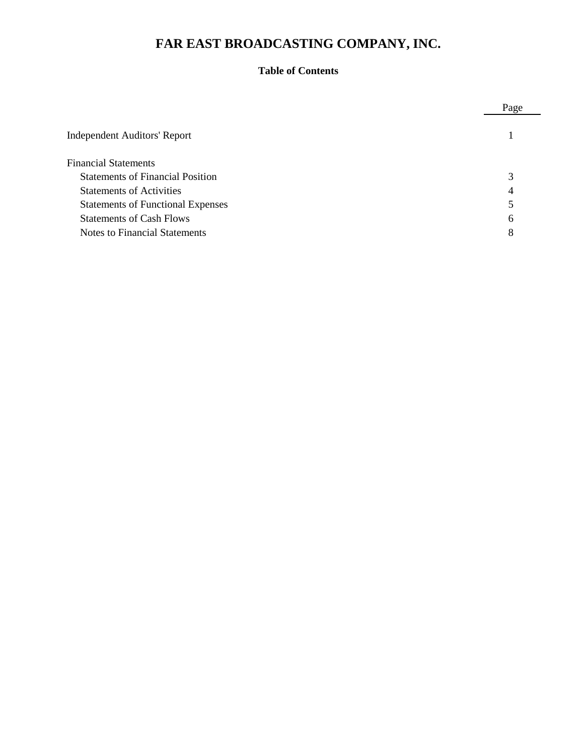### **Table of Contents**

| Page |
|------|
|      |
|      |
| 3    |
| 4    |
| 5    |
| 6    |
| 8    |
|      |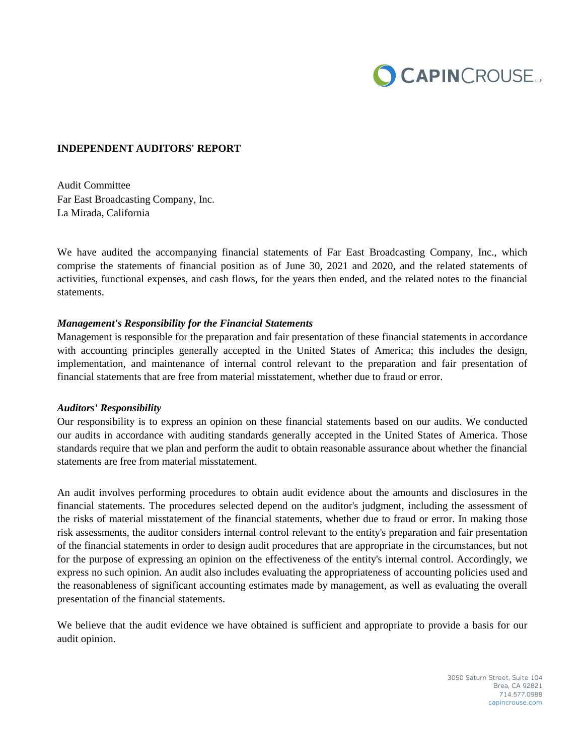

#### **INDEPENDENT AUDITORS' REPORT**

Audit Committee Far East Broadcasting Company, Inc. La Mirada, California

We have audited the accompanying financial statements of Far East Broadcasting Company, Inc., which comprise the statements of financial position as of June 30, 2021 and 2020, and the related statements of activities, functional expenses, and cash flows, for the years then ended, and the related notes to the financial statements.

#### *Management's Responsibility for the Financial Statements*

Management is responsible for the preparation and fair presentation of these financial statements in accordance with accounting principles generally accepted in the United States of America; this includes the design, implementation, and maintenance of internal control relevant to the preparation and fair presentation of financial statements that are free from material misstatement, whether due to fraud or error.

#### *Auditors' Responsibility*

Our responsibility is to express an opinion on these financial statements based on our audits. We conducted our audits in accordance with auditing standards generally accepted in the United States of America. Those standards require that we plan and perform the audit to obtain reasonable assurance about whether the financial statements are free from material misstatement.

An audit involves performing procedures to obtain audit evidence about the amounts and disclosures in the financial statements. The procedures selected depend on the auditor's judgment, including the assessment of the risks of material misstatement of the financial statements, whether due to fraud or error. In making those risk assessments, the auditor considers internal control relevant to the entity's preparation and fair presentation of the financial statements in order to design audit procedures that are appropriate in the circumstances, but not for the purpose of expressing an opinion on the effectiveness of the entity's internal control. Accordingly, we express no such opinion. An audit also includes evaluating the appropriateness of accounting policies used and the reasonableness of significant accounting estimates made by management, as well as evaluating the overall presentation of the financial statements.

We believe that the audit evidence we have obtained is sufficient and appropriate to provide a basis for our audit opinion.

> capincrouse.com 3050 Saturn Street, Suite 104 Brea, CA 92821 714.577.0988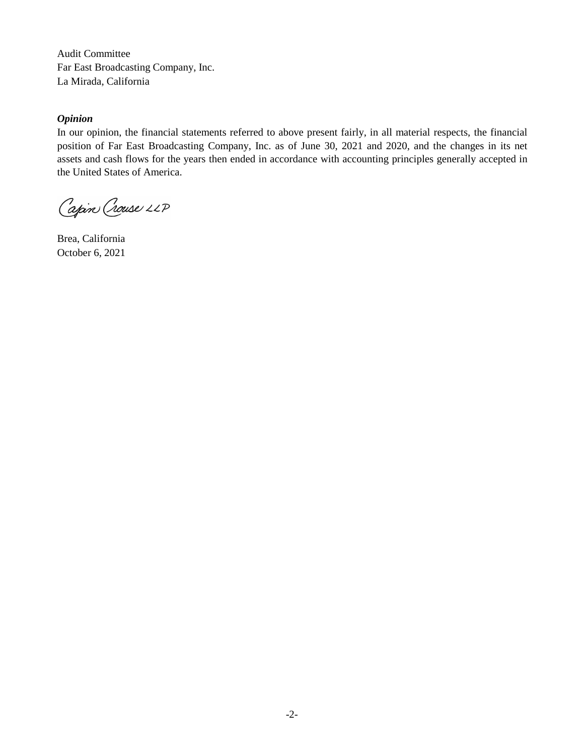Audit Committee Far East Broadcasting Company, Inc. Far East Broadcasting Company, me.<br>La Mirada, California but not for the purpose of expressing an opinion on the effectiveness of the organization's internal control over La ivinada, Camorina

### *Opinion*

In our opinion, the financial statements referred to above present fairly, in all material respects, the financial position of Far East Broadcasting Company, Inc. as of June 30, 2021 and 2020, and the changes in its net assets and cash flows for the years then ended in accordance with accounting principles generally accepted in the United States of America. America.

Capin Crouse LLP

Brea, California October 6, 2021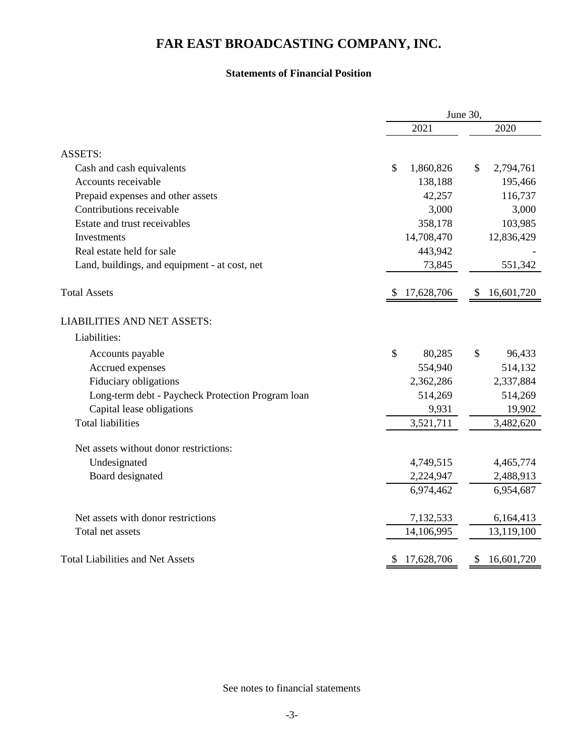### **Statements of Financial Position**

|                                                   | June 30, |            |    |            |  |
|---------------------------------------------------|----------|------------|----|------------|--|
|                                                   |          | 2021       |    | 2020       |  |
| <b>ASSETS:</b>                                    |          |            |    |            |  |
| Cash and cash equivalents                         | \$       | 1,860,826  | \$ | 2,794,761  |  |
| Accounts receivable                               |          | 138,188    |    | 195,466    |  |
| Prepaid expenses and other assets                 |          | 42,257     |    | 116,737    |  |
| Contributions receivable                          |          | 3,000      |    | 3,000      |  |
| Estate and trust receivables                      |          | 358,178    |    | 103,985    |  |
| Investments                                       |          | 14,708,470 |    | 12,836,429 |  |
| Real estate held for sale                         |          | 443,942    |    |            |  |
| Land, buildings, and equipment - at cost, net     |          | 73,845     |    | 551,342    |  |
| <b>Total Assets</b>                               |          | 17,628,706 | \$ | 16,601,720 |  |
| <b>LIABILITIES AND NET ASSETS:</b>                |          |            |    |            |  |
| Liabilities:                                      |          |            |    |            |  |
| Accounts payable                                  | \$       | 80,285     | \$ | 96,433     |  |
| Accrued expenses                                  |          | 554,940    |    | 514,132    |  |
| Fiduciary obligations                             |          | 2,362,286  |    | 2,337,884  |  |
| Long-term debt - Paycheck Protection Program loan |          | 514,269    |    | 514,269    |  |
| Capital lease obligations                         |          | 9,931      |    | 19,902     |  |
| <b>Total liabilities</b>                          |          | 3,521,711  |    | 3,482,620  |  |
| Net assets without donor restrictions:            |          |            |    |            |  |
| Undesignated                                      |          | 4,749,515  |    | 4,465,774  |  |
| Board designated                                  |          | 2,224,947  |    | 2,488,913  |  |
|                                                   |          | 6,974,462  |    | 6,954,687  |  |
| Net assets with donor restrictions                |          | 7,132,533  |    | 6,164,413  |  |
| Total net assets                                  |          | 14,106,995 |    | 13,119,100 |  |
| <b>Total Liabilities and Net Assets</b>           | \$       | 17,628,706 | \$ | 16,601,720 |  |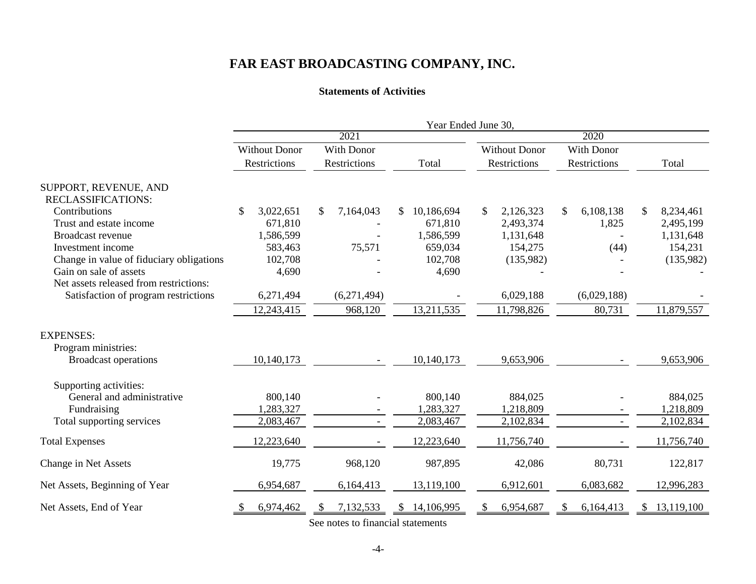### **Statements of Activities**

|                                          | Year Ended June 30,  |                   |                             |                      |                           |                             |  |  |  |  |
|------------------------------------------|----------------------|-------------------|-----------------------------|----------------------|---------------------------|-----------------------------|--|--|--|--|
|                                          |                      | 2020<br>2021      |                             |                      |                           |                             |  |  |  |  |
|                                          | <b>Without Donor</b> | <b>With Donor</b> |                             | <b>Without Donor</b> | With Donor                |                             |  |  |  |  |
|                                          | Restrictions         | Restrictions      | Total                       | <b>Restrictions</b>  | Restrictions              | Total                       |  |  |  |  |
| SUPPORT, REVENUE, AND                    |                      |                   |                             |                      |                           |                             |  |  |  |  |
| <b>RECLASSIFICATIONS:</b>                |                      |                   |                             |                      |                           |                             |  |  |  |  |
| Contributions                            | \$.<br>3,022,651     | \$<br>7,164,043   | 10,186,694<br>\$.           | 2,126,323<br>\$      | $\mathbb{S}$<br>6,108,138 | \$<br>8,234,461             |  |  |  |  |
| Trust and estate income                  | 671,810              |                   | 671,810                     | 2,493,374            | 1,825                     | 2,495,199                   |  |  |  |  |
| <b>Broadcast revenue</b>                 | 1,586,599            |                   | 1,586,599                   | 1,131,648            |                           | 1,131,648                   |  |  |  |  |
| Investment income                        | 583,463              | 75,571            | 659,034                     | 154,275              | (44)                      | 154,231                     |  |  |  |  |
| Change in value of fiduciary obligations | 102,708              |                   | 102,708                     | (135,982)            |                           | (135,982)                   |  |  |  |  |
| Gain on sale of assets                   | 4,690                |                   | 4,690                       |                      |                           |                             |  |  |  |  |
| Net assets released from restrictions:   |                      |                   |                             |                      |                           |                             |  |  |  |  |
| Satisfaction of program restrictions     | 6,271,494            | (6,271,494)       |                             | 6,029,188            | (6,029,188)               |                             |  |  |  |  |
|                                          | 12,243,415           | 968,120           | 13,211,535                  | 11,798,826           | 80,731                    | 11,879,557                  |  |  |  |  |
| <b>EXPENSES:</b>                         |                      |                   |                             |                      |                           |                             |  |  |  |  |
| Program ministries:                      |                      |                   |                             |                      |                           |                             |  |  |  |  |
| <b>Broadcast operations</b>              | 10,140,173           |                   | 10,140,173                  | 9,653,906            |                           | 9,653,906                   |  |  |  |  |
| Supporting activities:                   |                      |                   |                             |                      |                           |                             |  |  |  |  |
| General and administrative               | 800,140              |                   | 800,140                     | 884,025              |                           | 884,025                     |  |  |  |  |
| Fundraising                              | 1,283,327            |                   | 1,283,327                   | 1,218,809            |                           | 1,218,809                   |  |  |  |  |
| Total supporting services                | 2,083,467            |                   | 2,083,467                   | 2,102,834            |                           | 2,102,834                   |  |  |  |  |
| <b>Total Expenses</b>                    | 12,223,640           |                   | 12,223,640                  | 11,756,740           |                           | 11,756,740                  |  |  |  |  |
| Change in Net Assets                     | 19,775               | 968,120           | 987,895                     | 42,086               | 80,731                    | 122,817                     |  |  |  |  |
| Net Assets, Beginning of Year            | 6,954,687            | 6,164,413         | 13,119,100                  | 6,912,601            | 6,083,682                 | 12,996,283                  |  |  |  |  |
| Net Assets, End of Year                  | 6,974,462            | 7,132,533         | 14,106,995<br><sup>\$</sup> | 6,954,687            | 6,164,413                 | 13,119,100<br><sup>\$</sup> |  |  |  |  |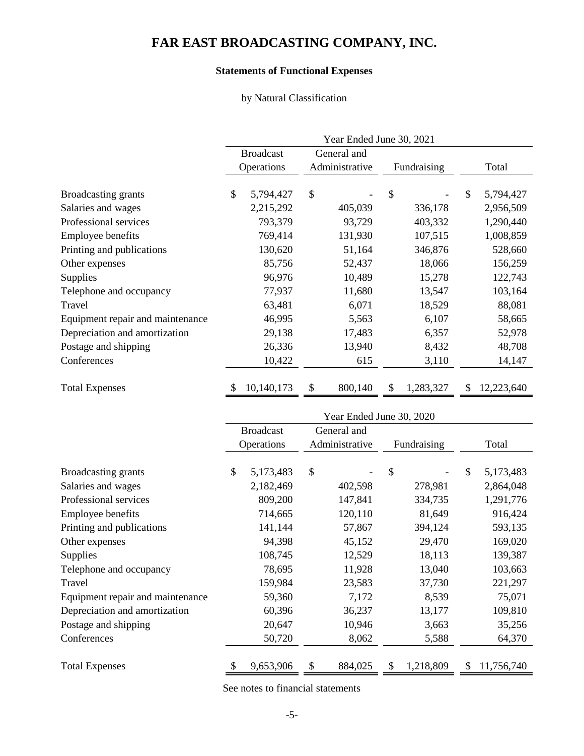### **Statements of Functional Expenses**

by Natural Classification

|                                  | Year Ended June 30, 2021 |                  |    |                |    |             |               |            |  |
|----------------------------------|--------------------------|------------------|----|----------------|----|-------------|---------------|------------|--|
|                                  |                          | <b>Broadcast</b> |    | General and    |    |             |               |            |  |
|                                  |                          | Operations       |    | Administrative |    | Fundraising |               | Total      |  |
| Broadcasting grants              | \$                       | 5,794,427        | \$ |                | \$ |             | $\mathcal{S}$ | 5,794,427  |  |
| Salaries and wages               |                          | 2,215,292        |    | 405,039        |    | 336,178     |               | 2,956,509  |  |
| Professional services            |                          | 793,379          |    | 93,729         |    | 403,332     |               | 1,290,440  |  |
| <b>Employee benefits</b>         |                          | 769,414          |    | 131,930        |    | 107,515     |               | 1,008,859  |  |
| Printing and publications        |                          | 130,620          |    | 51,164         |    | 346,876     |               | 528,660    |  |
| Other expenses                   |                          | 85,756           |    | 52,437         |    | 18,066      |               | 156,259    |  |
| <b>Supplies</b>                  |                          | 96,976           |    | 10,489         |    | 15,278      |               | 122,743    |  |
| Telephone and occupancy          |                          | 77,937           |    | 11,680         |    | 13,547      |               | 103,164    |  |
| Travel                           |                          | 63,481           |    | 6,071          |    | 18,529      |               | 88,081     |  |
| Equipment repair and maintenance |                          | 46,995           |    | 5,563          |    | 6,107       |               | 58,665     |  |
| Depreciation and amortization    |                          | 29,138           |    | 17,483         |    | 6,357       |               | 52,978     |  |
| Postage and shipping             |                          | 26,336           |    | 13,940         |    | 8,432       |               | 48,708     |  |
| Conferences                      |                          | 10,422           |    | 615            |    | 3,110       |               | 14,147     |  |
| <b>Total Expenses</b>            | \$                       | 10,140,173       | \$ | 800,140        | \$ | 1,283,327   | \$            | 12,223,640 |  |

|                                  | Year Ended June 30, 2020 |                  |    |                |    |             |    |            |  |
|----------------------------------|--------------------------|------------------|----|----------------|----|-------------|----|------------|--|
|                                  |                          | <b>Broadcast</b> |    | General and    |    |             |    |            |  |
|                                  |                          | Operations       |    | Administrative |    | Fundraising |    | Total      |  |
|                                  |                          |                  |    |                |    |             |    |            |  |
| Broadcasting grants              | \$                       | 5,173,483        | \$ |                | \$ |             | \$ | 5,173,483  |  |
| Salaries and wages               |                          | 2,182,469        |    | 402,598        |    | 278,981     |    | 2,864,048  |  |
| Professional services            |                          | 809,200          |    | 147,841        |    | 334,735     |    | 1,291,776  |  |
| Employee benefits                |                          | 714,665          |    | 120,110        |    | 81,649      |    | 916,424    |  |
| Printing and publications        |                          | 141,144          |    | 57,867         |    | 394,124     |    | 593,135    |  |
| Other expenses                   |                          | 94,398           |    | 45,152         |    | 29,470      |    | 169,020    |  |
| <b>Supplies</b>                  |                          | 108,745          |    | 12,529         |    | 18,113      |    | 139,387    |  |
| Telephone and occupancy          |                          | 78,695           |    | 11,928         |    | 13,040      |    | 103,663    |  |
| Travel                           |                          | 159,984          |    | 23,583         |    | 37,730      |    | 221,297    |  |
| Equipment repair and maintenance |                          | 59,360           |    | 7,172          |    | 8,539       |    | 75,071     |  |
| Depreciation and amortization    |                          | 60,396           |    | 36,237         |    | 13,177      |    | 109,810    |  |
| Postage and shipping             |                          | 20,647           |    | 10,946         |    | 3,663       |    | 35,256     |  |
| Conferences                      |                          | 50,720           |    | 8,062          |    | 5,588       |    | 64,370     |  |
| <b>Total Expenses</b>            | \$                       | 9,653,906        | \$ | 884,025        | \$ | 1,218,809   | \$ | 11,756,740 |  |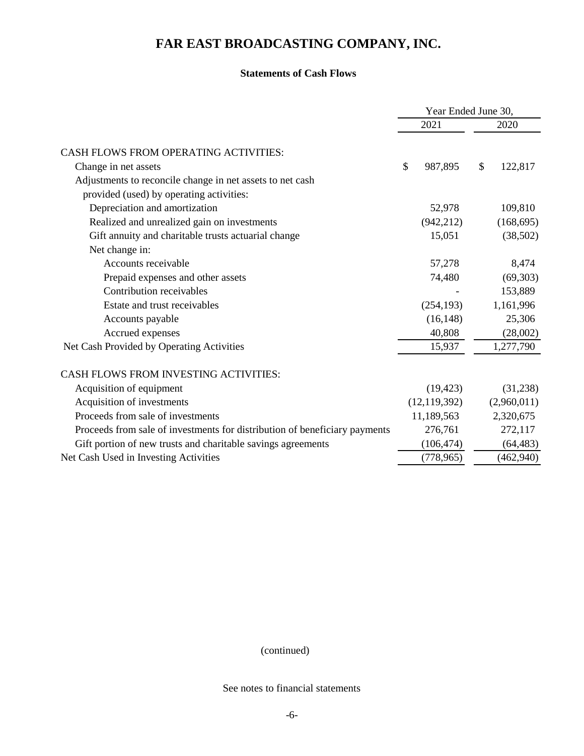### **Statements of Cash Flows**

|                                                                            | Year Ended June 30, |    |             |  |
|----------------------------------------------------------------------------|---------------------|----|-------------|--|
|                                                                            | 2021                |    | 2020        |  |
| <b>CASH FLOWS FROM OPERATING ACTIVITIES:</b>                               |                     |    |             |  |
| Change in net assets                                                       | \$<br>987,895       | \$ | 122,817     |  |
| Adjustments to reconcile change in net assets to net cash                  |                     |    |             |  |
| provided (used) by operating activities:                                   |                     |    |             |  |
| Depreciation and amortization                                              | 52,978              |    | 109,810     |  |
| Realized and unrealized gain on investments                                | (942, 212)          |    | (168, 695)  |  |
| Gift annuity and charitable trusts actuarial change                        | 15,051              |    | (38,502)    |  |
| Net change in:                                                             |                     |    |             |  |
| Accounts receivable                                                        | 57,278              |    | 8,474       |  |
| Prepaid expenses and other assets                                          | 74,480              |    | (69,303)    |  |
| Contribution receivables                                                   |                     |    | 153,889     |  |
| Estate and trust receivables                                               | (254, 193)          |    | 1,161,996   |  |
| Accounts payable                                                           | (16, 148)           |    | 25,306      |  |
| Accrued expenses                                                           | 40,808              |    | (28,002)    |  |
| Net Cash Provided by Operating Activities                                  | 15,937              |    | 1,277,790   |  |
| CASH FLOWS FROM INVESTING ACTIVITIES:                                      |                     |    |             |  |
| Acquisition of equipment                                                   | (19, 423)           |    | (31,238)    |  |
| Acquisition of investments                                                 | (12, 119, 392)      |    | (2,960,011) |  |
| Proceeds from sale of investments                                          | 11,189,563          |    | 2,320,675   |  |
| Proceeds from sale of investments for distribution of beneficiary payments | 276,761             |    | 272,117     |  |
| Gift portion of new trusts and charitable savings agreements               | (106, 474)          |    | (64, 483)   |  |
| Net Cash Used in Investing Activities                                      | (778, 965)          |    | (462, 940)  |  |
|                                                                            |                     |    |             |  |

(continued)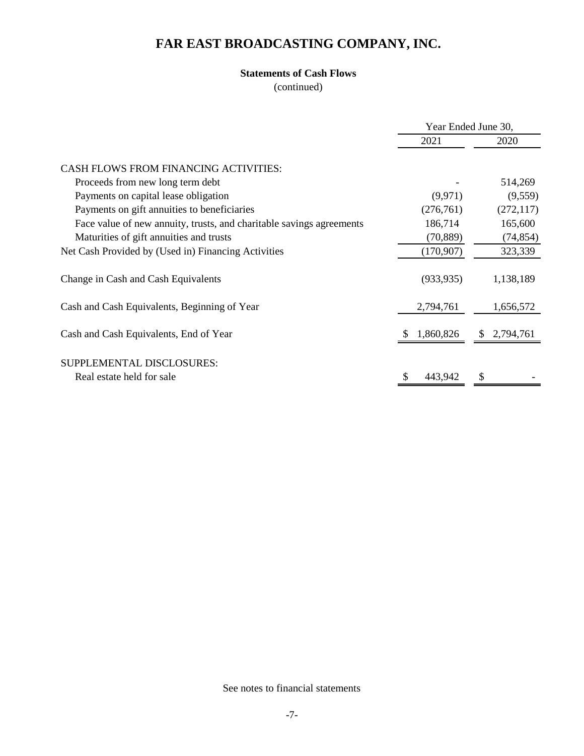### **Statements of Cash Flows**

(continued)

| 2021             | 2020                      |
|------------------|---------------------------|
|                  |                           |
|                  |                           |
|                  | 514,269                   |
| (9,971)          | (9,559)                   |
| (276,761)        | (272, 117)                |
| 186,714          | 165,600                   |
| (70, 889)        | (74, 854)                 |
| (170, 907)       | 323,339                   |
| (933, 935)       | 1,138,189                 |
| 2,794,761        | 1,656,572                 |
| 1,860,826<br>\$. | 2,794,761<br><sup>S</sup> |
|                  |                           |
|                  | 443,942                   |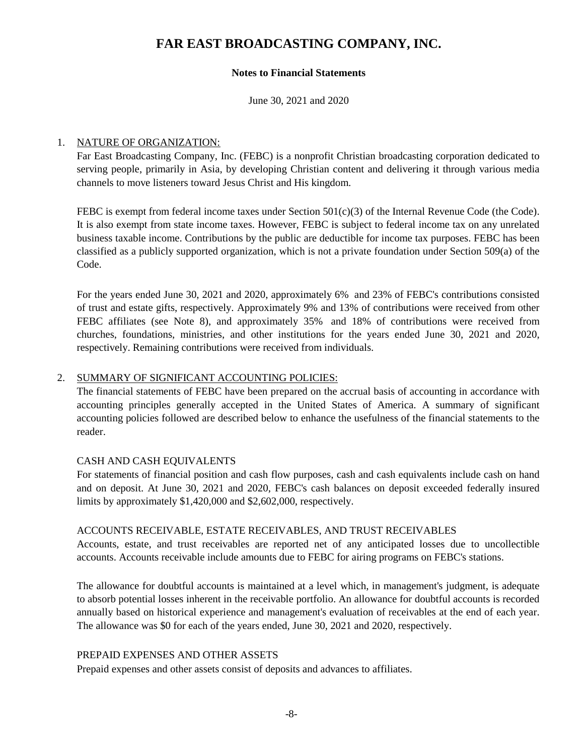### **Notes to Financial Statements**

June 30, 2021 and 2020

### 1. NATURE OF ORGANIZATION:

Far East Broadcasting Company, Inc. (FEBC) is a nonprofit Christian broadcasting corporation dedicated to serving people, primarily in Asia, by developing Christian content and delivering it through various media channels to move listeners toward Jesus Christ and His kingdom.

FEBC is exempt from federal income taxes under Section  $501(c)(3)$  of the Internal Revenue Code (the Code). It is also exempt from state income taxes. However, FEBC is subject to federal income tax on any unrelated business taxable income. Contributions by the public are deductible for income tax purposes. FEBC has been classified as a publicly supported organization, which is not a private foundation under Section 509(a) of the Code.

For the years ended June 30, 2021 and 2020, approximately 6% and 23% of FEBC's contributions consisted of trust and estate gifts, respectively. Approximately 9% and 13% of contributions were received from other FEBC affiliates (see Note 8), and approximately 35% and 18% of contributions were received from churches, foundations, ministries, and other institutions for the years ended June 30, 2021 and 2020, respectively. Remaining contributions were received from individuals.

### 2. SUMMARY OF SIGNIFICANT ACCOUNTING POLICIES:

The financial statements of FEBC have been prepared on the accrual basis of accounting in accordance with accounting principles generally accepted in the United States of America. A summary of significant accounting policies followed are described below to enhance the usefulness of the financial statements to the reader.

### CASH AND CASH EQUIVALENTS

For statements of financial position and cash flow purposes, cash and cash equivalents include cash on hand and on deposit. At June 30, 2021 and 2020, FEBC's cash balances on deposit exceeded federally insured limits by approximately \$1,420,000 and \$2,602,000, respectively.

### ACCOUNTS RECEIVABLE, ESTATE RECEIVABLES, AND TRUST RECEIVABLES

Accounts, estate, and trust receivables are reported net of any anticipated losses due to uncollectible accounts. Accounts receivable include amounts due to FEBC for airing programs on FEBC's stations.

The allowance for doubtful accounts is maintained at a level which, in management's judgment, is adequate to absorb potential losses inherent in the receivable portfolio. An allowance for doubtful accounts is recorded annually based on historical experience and management's evaluation of receivables at the end of each year. The allowance was \$0 for each of the years ended, June 30, 2021 and 2020, respectively.

### PREPAID EXPENSES AND OTHER ASSETS

Prepaid expenses and other assets consist of deposits and advances to affiliates.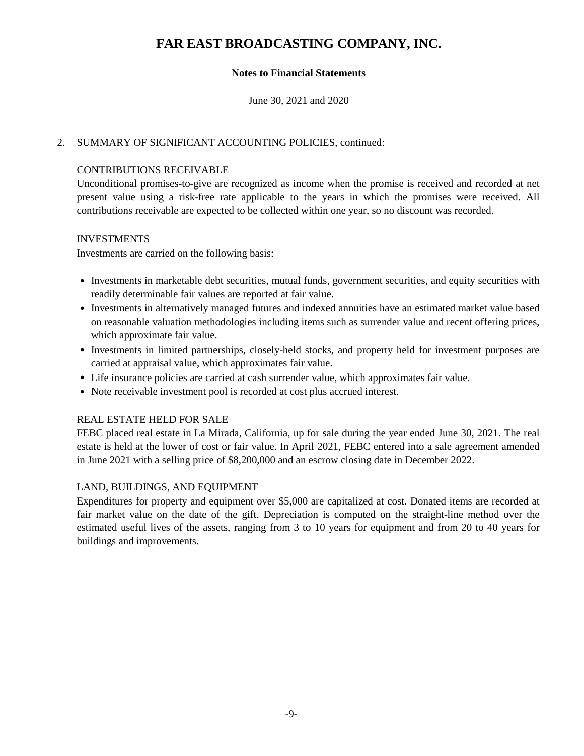### **Notes to Financial Statements**

June 30, 2021 and 2020

### 2. SUMMARY OF SIGNIFICANT ACCOUNTING POLICIES, continued:

### CONTRIBUTIONS RECEIVABLE

Unconditional promises-to-give are recognized as income when the promise is received and recorded at net present value using a risk-free rate applicable to the years in which the promises were received. All contributions receivable are expected to be collected within one year, so no discount was recorded.

### INVESTMENTS

Investments are carried on the following basis:

- Investments in marketable debt securities, mutual funds, government securities, and equity securities with readily determinable fair values are reported at fair value.
- Investments in alternatively managed futures and indexed annuities have an estimated market value based on reasonable valuation methodologies including items such as surrender value and recent offering prices, which approximate fair value.
- Investments in limited partnerships, closely-held stocks, and property held for investment purposes are carried at appraisal value, which approximates fair value.
- Life insurance policies are carried at cash surrender value, which approximates fair value.
- Note receivable investment pool is recorded at cost plus accrued interest.

### REAL ESTATE HELD FOR SALE

FEBC placed real estate in La Mirada, California, up for sale during the year ended June 30, 2021. The real estate is held at the lower of cost or fair value. In April 2021, FEBC entered into a sale agreement amended in June 2021 with a selling price of \$8,200,000 and an escrow closing date in December 2022.

### LAND, BUILDINGS, AND EQUIPMENT

Expenditures for property and equipment over \$5,000 are capitalized at cost. Donated items are recorded at fair market value on the date of the gift. Depreciation is computed on the straight-line method over the estimated useful lives of the assets, ranging from 3 to 10 years for equipment and from 20 to 40 years for buildings and improvements.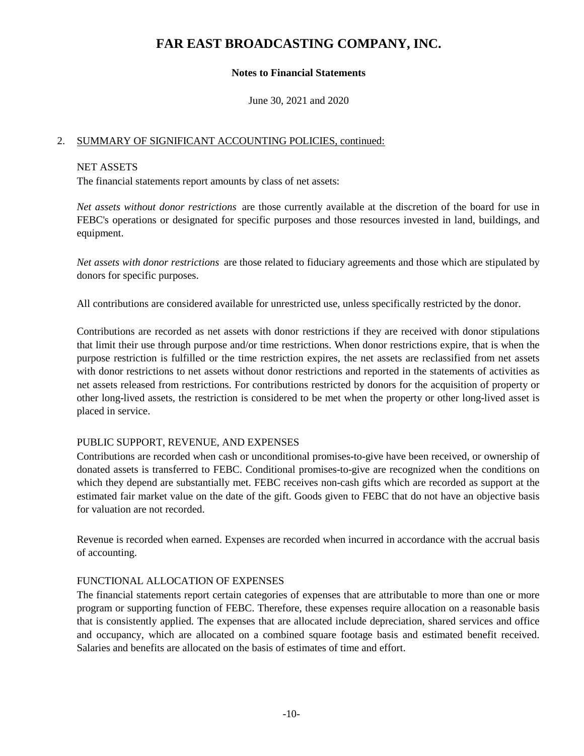### **Notes to Financial Statements**

June 30, 2021 and 2020

### 2. SUMMARY OF SIGNIFICANT ACCOUNTING POLICIES, continued:

### NET ASSETS

The financial statements report amounts by class of net assets:

*Net assets without donor restrictions* are those currently available at the discretion of the board for use in FEBC's operations or designated for specific purposes and those resources invested in land, buildings, and equipment.

*Net assets with donor restrictions* are those related to fiduciary agreements and those which are stipulated by donors for specific purposes.

All contributions are considered available for unrestricted use, unless specifically restricted by the donor.

Contributions are recorded as net assets with donor restrictions if they are received with donor stipulations that limit their use through purpose and/or time restrictions. When donor restrictions expire, that is when the purpose restriction is fulfilled or the time restriction expires, the net assets are reclassified from net assets with donor restrictions to net assets without donor restrictions and reported in the statements of activities as net assets released from restrictions. For contributions restricted by donors for the acquisition of property or other long-lived assets, the restriction is considered to be met when the property or other long-lived asset is placed in service.

### PUBLIC SUPPORT, REVENUE, AND EXPENSES

Contributions are recorded when cash or unconditional promises-to-give have been received, or ownership of donated assets is transferred to FEBC. Conditional promises-to-give are recognized when the conditions on which they depend are substantially met. FEBC receives non-cash gifts which are recorded as support at the estimated fair market value on the date of the gift. Goods given to FEBC that do not have an objective basis for valuation are not recorded.

Revenue is recorded when earned. Expenses are recorded when incurred in accordance with the accrual basis of accounting.

### FUNCTIONAL ALLOCATION OF EXPENSES

The financial statements report certain categories of expenses that are attributable to more than one or more program or supporting function of FEBC. Therefore, these expenses require allocation on a reasonable basis that is consistently applied. The expenses that are allocated include depreciation, shared services and office and occupancy, which are allocated on a combined square footage basis and estimated benefit received. Salaries and benefits are allocated on the basis of estimates of time and effort.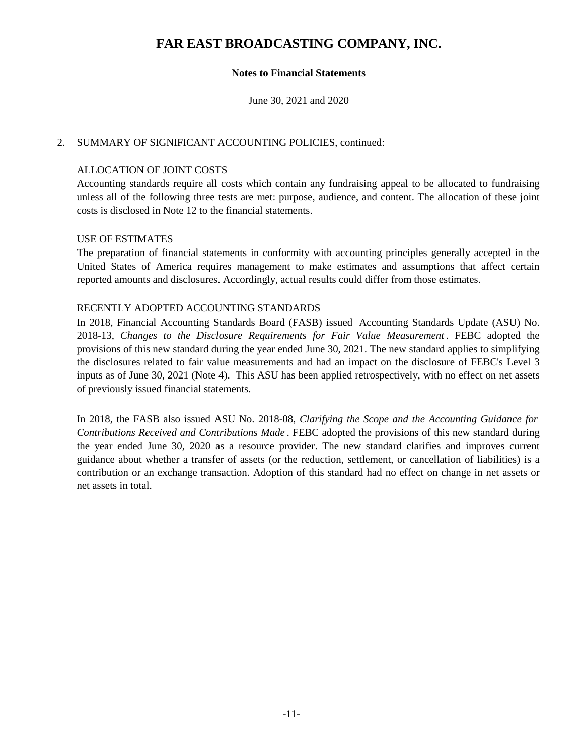### **Notes to Financial Statements**

June 30, 2021 and 2020

### 2. SUMMARY OF SIGNIFICANT ACCOUNTING POLICIES, continued:

### ALLOCATION OF JOINT COSTS

Accounting standards require all costs which contain any fundraising appeal to be allocated to fundraising unless all of the following three tests are met: purpose, audience, and content. The allocation of these joint costs is disclosed in Note 12 to the financial statements.

### USE OF ESTIMATES

The preparation of financial statements in conformity with accounting principles generally accepted in the United States of America requires management to make estimates and assumptions that affect certain reported amounts and disclosures. Accordingly, actual results could differ from those estimates.

### RECENTLY ADOPTED ACCOUNTING STANDARDS

In 2018, Financial Accounting Standards Board (FASB) issued Accounting Standards Update (ASU) No. 2018-13, *Changes to the Disclosure Requirements for Fair Value Measurement* . FEBC adopted the provisions of this new standard during the year ended June 30, 2021. The new standard applies to simplifying the disclosures related to fair value measurements and had an impact on the disclosure of FEBC's Level 3 inputs as of June 30, 2021 (Note 4). This ASU has been applied retrospectively, with no effect on net assets of previously issued financial statements.

In 2018, the FASB also issued ASU No. 2018-08, *Clarifying the Scope and the Accounting Guidance for Contributions Received and Contributions Made* . FEBC adopted the provisions of this new standard during the year ended June 30, 2020 as a resource provider. The new standard clarifies and improves current guidance about whether a transfer of assets (or the reduction, settlement, or cancellation of liabilities) is a contribution or an exchange transaction. Adoption of this standard had no effect on change in net assets or net assets in total.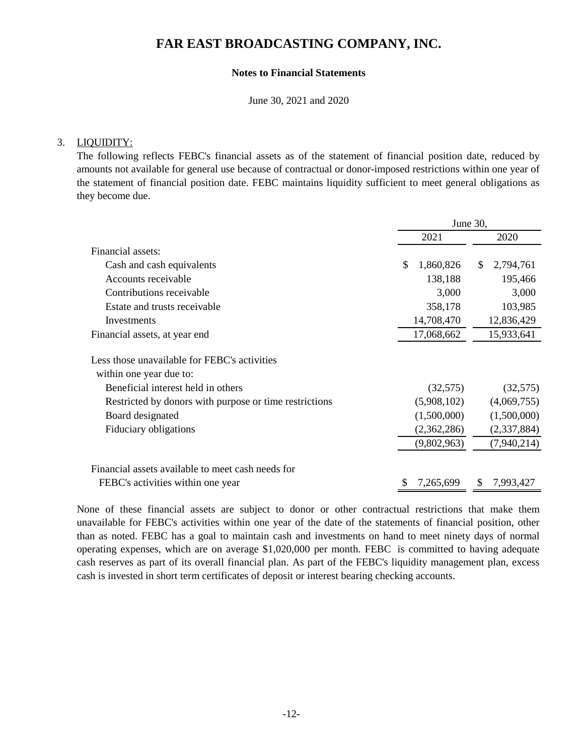### **Notes to Financial Statements**

June 30, 2021 and 2020

### 3. LIQUIDITY:

The following reflects FEBC's financial assets as of the statement of financial position date, reduced by amounts not available for general use because of contractual or donor-imposed restrictions within one year of the statement of financial position date. FEBC maintains liquidity sufficient to meet general obligations as they become due.

|                                                        | June 30,        |                           |  |  |
|--------------------------------------------------------|-----------------|---------------------------|--|--|
|                                                        | 2021            | 2020                      |  |  |
| Financial assets:                                      |                 |                           |  |  |
| Cash and cash equivalents                              | \$<br>1,860,826 | 2,794,761<br>S.           |  |  |
| Accounts receivable                                    | 138,188         | 195,466                   |  |  |
| Contributions receivable                               | 3,000           | 3,000                     |  |  |
| Estate and trusts receivable                           | 358,178         | 103,985                   |  |  |
| Investments                                            | 14,708,470      | 12,836,429                |  |  |
| Financial assets, at year end                          | 17,068,662      | 15,933,641                |  |  |
| Less those unavailable for FEBC's activities           |                 |                           |  |  |
| within one year due to:                                |                 |                           |  |  |
| Beneficial interest held in others                     | (32,575)        | (32,575)                  |  |  |
| Restricted by donors with purpose or time restrictions | (5,908,102)     | (4,069,755)               |  |  |
| Board designated                                       | (1,500,000)     | (1,500,000)               |  |  |
| Fiduciary obligations                                  | (2,362,286)     | (2,337,884)               |  |  |
|                                                        | (9,802,963)     | (7,940,214)               |  |  |
| Financial assets available to meet cash needs for      |                 |                           |  |  |
| FEBC's activities within one year                      | 7,265,699       | 7,993,427<br><sup>S</sup> |  |  |

None of these financial assets are subject to donor or other contractual restrictions that make them unavailable for FEBC's activities within one year of the date of the statements of financial position, other than as noted. FEBC has a goal to maintain cash and investments on hand to meet ninety days of normal operating expenses, which are on average \$1,020,000 per month. FEBC is committed to having adequate cash reserves as part of its overall financial plan. As part of the FEBC's liquidity management plan, excess cash is invested in short term certificates of deposit or interest bearing checking accounts.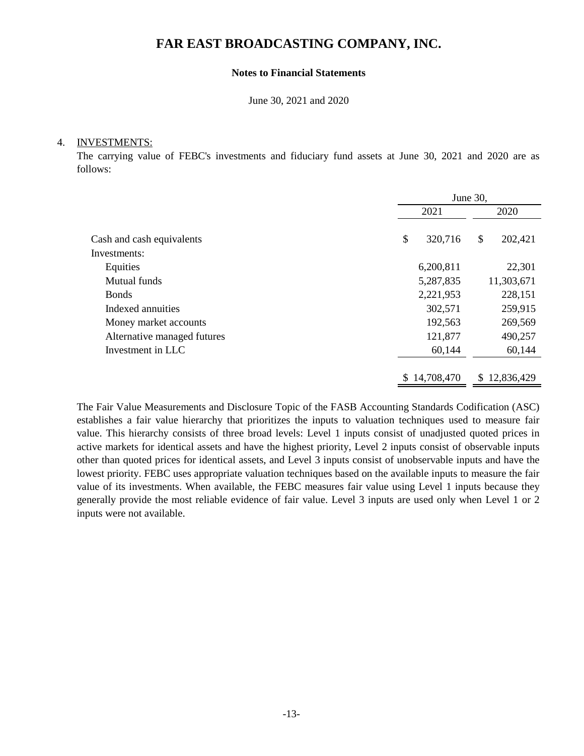### **Notes to Financial Statements**

June 30, 2021 and 2020

#### 4. INVESTMENTS:

The carrying value of FEBC's investments and fiduciary fund assets at June 30, 2021 and 2020 are as follows:

|                                                      | June 30, |                        |    |                       |
|------------------------------------------------------|----------|------------------------|----|-----------------------|
|                                                      |          | 2021                   |    | 2020                  |
| Cash and cash equivalents                            | \$       | 320,716                | \$ | 202,421               |
| Investments:<br>Equities                             |          | 6,200,811              |    | 22,301                |
| <b>Mutual funds</b><br><b>Bonds</b>                  |          | 5,287,835<br>2,221,953 |    | 11,303,671<br>228,151 |
| Indexed annuities                                    |          | 302,571                |    | 259,915               |
| Money market accounts<br>Alternative managed futures |          | 192,563<br>121,877     |    | 269,569<br>490,257    |
| Investment in LLC                                    |          | 60,144                 |    | 60,144                |
|                                                      |          | \$14,708,470           | S. | 12,836,429            |

The Fair Value Measurements and Disclosure Topic of the FASB Accounting Standards Codification (ASC) establishes a fair value hierarchy that prioritizes the inputs to valuation techniques used to measure fair value. This hierarchy consists of three broad levels: Level 1 inputs consist of unadjusted quoted prices in active markets for identical assets and have the highest priority, Level 2 inputs consist of observable inputs other than quoted prices for identical assets, and Level 3 inputs consist of unobservable inputs and have the lowest priority. FEBC uses appropriate valuation techniques based on the available inputs to measure the fair value of its investments. When available, the FEBC measures fair value using Level 1 inputs because they generally provide the most reliable evidence of fair value. Level 3 inputs are used only when Level 1 or 2 inputs were not available.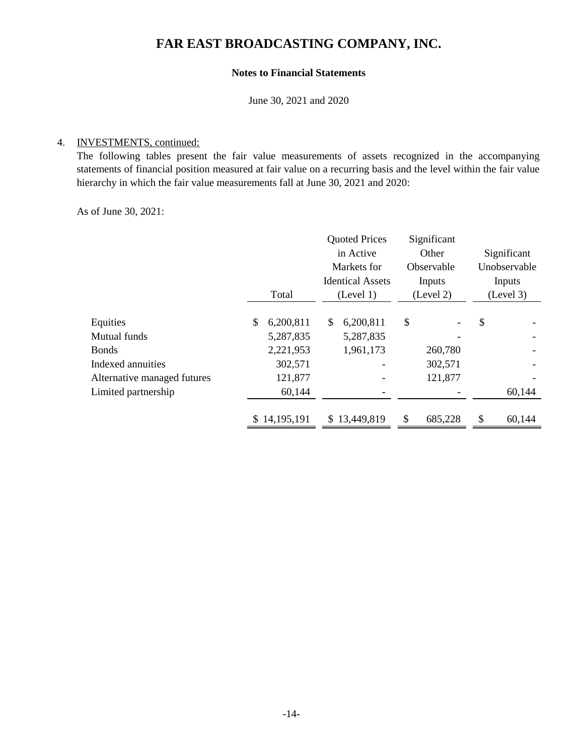### **Notes to Financial Statements**

June 30, 2021 and 2020

### 4. INVESTMENTS, continued:

The following tables present the fair value measurements of assets recognized in the accompanying statements of financial position measured at fair value on a recurring basis and the level within the fair value hierarchy in which the fair value measurements fall at June 30, 2021 and 2020:

As of June 30, 2021:

|                             | Total           | <b>Quoted Prices</b><br>in Active<br>Markets for<br><b>Identical Assets</b><br>(Level 1) | Significant<br>Other<br>Observable<br>Inputs<br>(Level 2) | Significant<br>Unobservable<br>Inputs<br>(Level 3) |
|-----------------------------|-----------------|------------------------------------------------------------------------------------------|-----------------------------------------------------------|----------------------------------------------------|
|                             |                 |                                                                                          |                                                           |                                                    |
| Equities                    | \$<br>6,200,811 | \$<br>6,200,811                                                                          | \$                                                        | \$                                                 |
| Mutual funds                | 5,287,835       | 5,287,835                                                                                |                                                           |                                                    |
| <b>Bonds</b>                | 2,221,953       | 1,961,173                                                                                | 260,780                                                   |                                                    |
| Indexed annuities           | 302,571         |                                                                                          | 302,571                                                   |                                                    |
| Alternative managed futures | 121,877         |                                                                                          | 121,877                                                   |                                                    |
| Limited partnership         | 60,144          |                                                                                          |                                                           | 60,144                                             |
|                             |                 |                                                                                          |                                                           |                                                    |
|                             | \$14,195,191    | \$13,449,819                                                                             | \$<br>685,228                                             | \$<br>60,144                                       |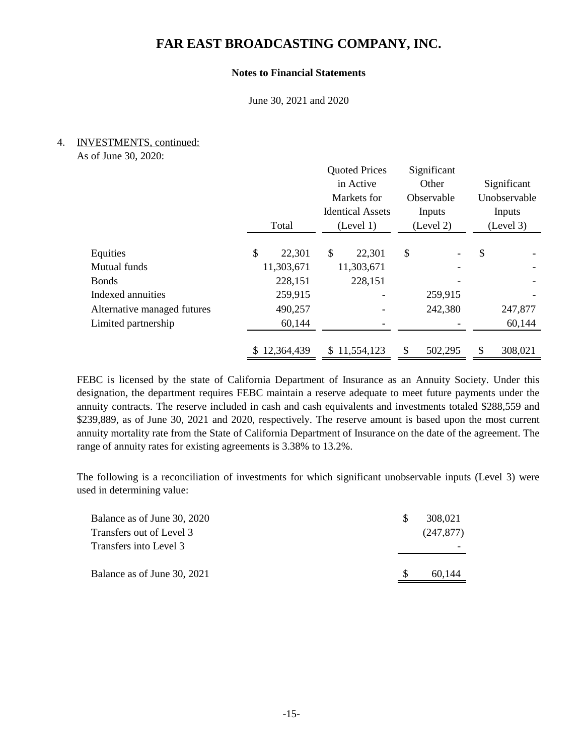### **Notes to Financial Statements**

June 30, 2021 and 2020

#### 4. INVESTMENTS, continued:

As of June 30, 2020:

|                             | Total        | <b>Quoted Prices</b><br>in Active<br>Markets for<br><b>Identical Assets</b><br>(Level 1) | Significant<br>Other<br><b>Observable</b><br>Inputs<br>(Level 2) | Significant<br>Unobservable<br>Inputs<br>(Level 3) |  |
|-----------------------------|--------------|------------------------------------------------------------------------------------------|------------------------------------------------------------------|----------------------------------------------------|--|
|                             |              |                                                                                          |                                                                  |                                                    |  |
| Equities                    | \$<br>22,301 | \$<br>22,301                                                                             | $\boldsymbol{\mathsf{S}}$                                        | $\mathcal{S}$                                      |  |
| Mutual funds                | 11,303,671   | 11,303,671                                                                               |                                                                  |                                                    |  |
| <b>Bonds</b>                | 228,151      | 228,151                                                                                  |                                                                  |                                                    |  |
| Indexed annuities           | 259,915      |                                                                                          | 259,915                                                          |                                                    |  |
| Alternative managed futures | 490,257      |                                                                                          | 242,380                                                          | 247,877                                            |  |
| Limited partnership         | 60,144       |                                                                                          |                                                                  | 60,144                                             |  |
|                             | \$12,364,439 | \$11,554,123                                                                             | \$<br>502,295                                                    | 308,021<br>\$                                      |  |

FEBC is licensed by the state of California Department of Insurance as an Annuity Society. Under this designation, the department requires FEBC maintain a reserve adequate to meet future payments under the annuity contracts. The reserve included in cash and cash equivalents and investments totaled \$288,559 and \$239,889, as of June 30, 2021 and 2020, respectively. The reserve amount is based upon the most current annuity mortality rate from the State of California Department of Insurance on the date of the agreement. The range of annuity rates for existing agreements is 3.38% to 13.2%.

The following is a reconciliation of investments for which significant unobservable inputs (Level 3) were used in determining value:

| -S | 308,021    |
|----|------------|
|    | (247, 877) |
|    |            |
|    |            |
|    | 60,144     |
|    |            |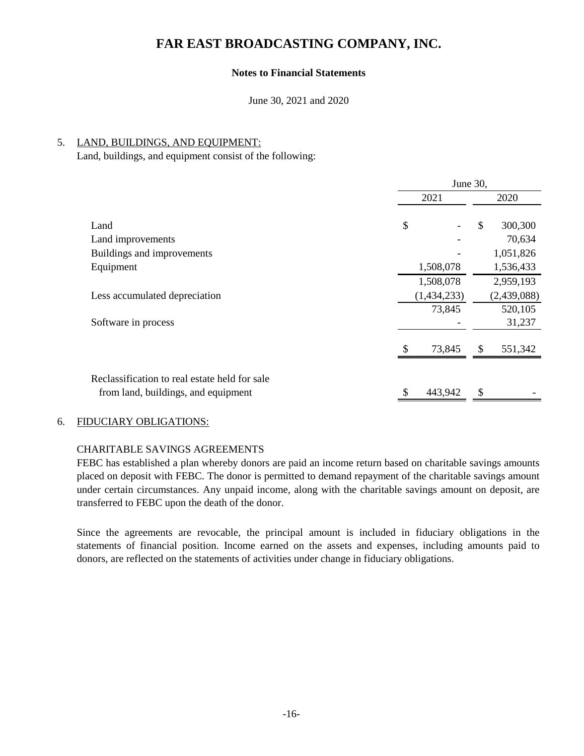### **Notes to Financial Statements**

June 30, 2021 and 2020

### 5. LAND, BUILDINGS, AND EQUIPMENT:

Land, buildings, and equipment consist of the following:

|                                               | June 30, |             |    |             |
|-----------------------------------------------|----------|-------------|----|-------------|
|                                               |          | 2021        |    | 2020        |
|                                               |          |             |    |             |
| Land                                          | \$       |             | \$ | 300,300     |
| Land improvements                             |          |             |    | 70,634      |
| Buildings and improvements                    |          |             |    | 1,051,826   |
| Equipment                                     |          | 1,508,078   |    | 1,536,433   |
|                                               |          | 1,508,078   |    | 2,959,193   |
| Less accumulated depreciation                 |          | (1,434,233) |    | (2,439,088) |
|                                               |          | 73,845      |    | 520,105     |
| Software in process                           |          |             |    | 31,237      |
|                                               | \$       | 73,845      | \$ | 551,342     |
|                                               |          |             |    |             |
| Reclassification to real estate held for sale |          |             |    |             |
| from land, buildings, and equipment           | \$       | 443,942     | \$ |             |

### 6. FIDUCIARY OBLIGATIONS:

### CHARITABLE SAVINGS AGREEMENTS

FEBC has established a plan whereby donors are paid an income return based on charitable savings amounts placed on deposit with FEBC. The donor is permitted to demand repayment of the charitable savings amount under certain circumstances. Any unpaid income, along with the charitable savings amount on deposit, are transferred to FEBC upon the death of the donor.

Since the agreements are revocable, the principal amount is included in fiduciary obligations in the statements of financial position. Income earned on the assets and expenses, including amounts paid to donors, are reflected on the statements of activities under change in fiduciary obligations.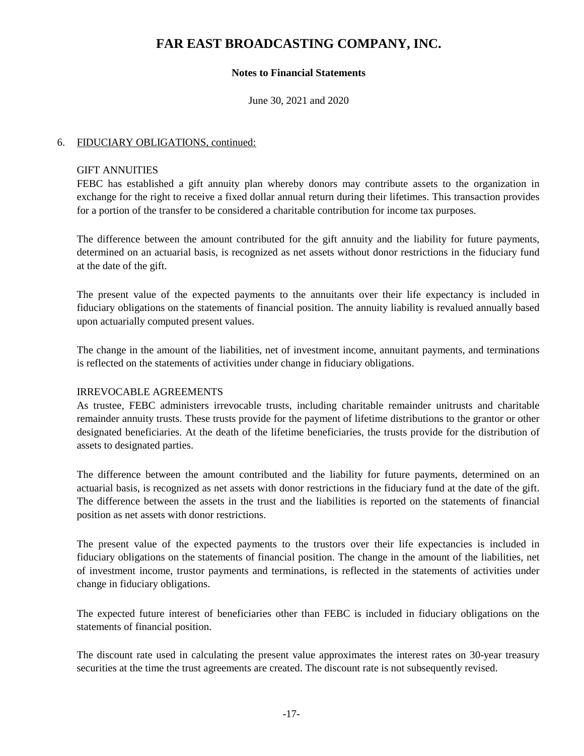### **Notes to Financial Statements**

June 30, 2021 and 2020

### 6. FIDUCIARY OBLIGATIONS, continued:

### GIFT ANNUITIES

FEBC has established a gift annuity plan whereby donors may contribute assets to the organization in exchange for the right to receive a fixed dollar annual return during their lifetimes. This transaction provides for a portion of the transfer to be considered a charitable contribution for income tax purposes.

The difference between the amount contributed for the gift annuity and the liability for future payments, determined on an actuarial basis, is recognized as net assets without donor restrictions in the fiduciary fund at the date of the gift.

The present value of the expected payments to the annuitants over their life expectancy is included in fiduciary obligations on the statements of financial position. The annuity liability is revalued annually based upon actuarially computed present values.

The change in the amount of the liabilities, net of investment income, annuitant payments, and terminations is reflected on the statements of activities under change in fiduciary obligations.

### IRREVOCABLE AGREEMENTS

As trustee, FEBC administers irrevocable trusts, including charitable remainder unitrusts and charitable remainder annuity trusts. These trusts provide for the payment of lifetime distributions to the grantor or other designated beneficiaries. At the death of the lifetime beneficiaries, the trusts provide for the distribution of assets to designated parties.

The difference between the amount contributed and the liability for future payments, determined on an actuarial basis, is recognized as net assets with donor restrictions in the fiduciary fund at the date of the gift. The difference between the assets in the trust and the liabilities is reported on the statements of financial position as net assets with donor restrictions.

The present value of the expected payments to the trustors over their life expectancies is included in fiduciary obligations on the statements of financial position. The change in the amount of the liabilities, net of investment income, trustor payments and terminations, is reflected in the statements of activities under change in fiduciary obligations.

The expected future interest of beneficiaries other than FEBC is included in fiduciary obligations on the statements of financial position.

The discount rate used in calculating the present value approximates the interest rates on 30-year treasury securities at the time the trust agreements are created. The discount rate is not subsequently revised.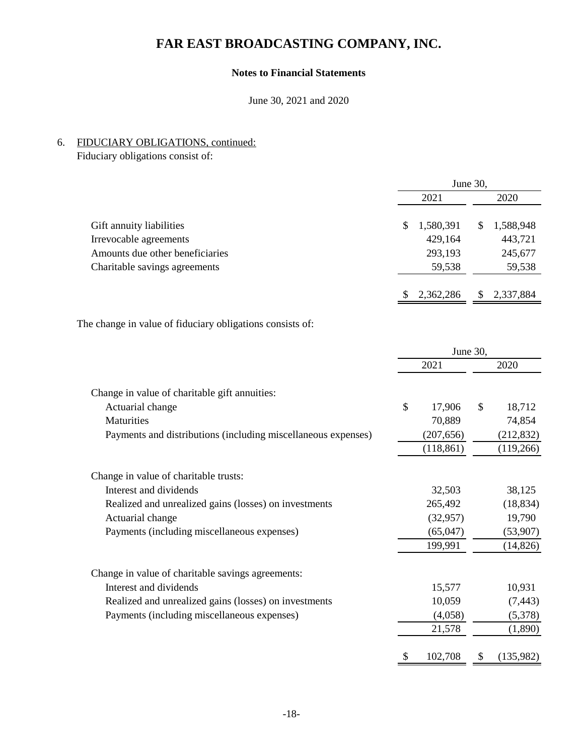### **Notes to Financial Statements**

June 30, 2021 and 2020

6. FIDUCIARY OBLIGATIONS, continued:

Fiduciary obligations consist of:

|                                 | June 30, |           |      |           |
|---------------------------------|----------|-----------|------|-----------|
|                                 | 2021     |           | 2020 |           |
| Gift annuity liabilities        | \$       | 1,580,391 | \$   | 1,588,948 |
| Irrevocable agreements          |          | 429,164   |      | 443,721   |
| Amounts due other beneficiaries |          | 293,193   |      | 245,677   |
| Charitable savings agreements   |          | 59,538    |      | 59,538    |
|                                 | S        | 2,362,286 | \$.  | 2,337,884 |

The change in value of fiduciary obligations consists of:

|                                                               | June 30, |            |               |            |  |
|---------------------------------------------------------------|----------|------------|---------------|------------|--|
|                                                               |          | 2021       |               | 2020       |  |
| Change in value of charitable gift annuities:                 |          |            |               |            |  |
| Actuarial change                                              | \$       | 17,906     | $\mathcal{S}$ | 18,712     |  |
| Maturities                                                    |          | 70,889     |               | 74,854     |  |
| Payments and distributions (including miscellaneous expenses) |          | (207, 656) |               | (212, 832) |  |
|                                                               |          | (118, 861) |               | (119,266)  |  |
| Change in value of charitable trusts:                         |          |            |               |            |  |
| Interest and dividends                                        |          | 32,503     |               | 38,125     |  |
| Realized and unrealized gains (losses) on investments         |          | 265,492    |               | (18, 834)  |  |
| Actuarial change                                              |          | (32,957)   |               | 19,790     |  |
| Payments (including miscellaneous expenses)                   |          | (65,047)   |               | (53,907)   |  |
|                                                               |          | 199,991    |               | (14, 826)  |  |
| Change in value of charitable savings agreements:             |          |            |               |            |  |
| Interest and dividends                                        |          | 15,577     |               | 10,931     |  |
| Realized and unrealized gains (losses) on investments         |          | 10,059     |               | (7, 443)   |  |
| Payments (including miscellaneous expenses)                   |          | (4,058)    |               | (5,378)    |  |
|                                                               |          | 21,578     |               | (1,890)    |  |
|                                                               | \$       | 102,708    | \$            | (135,982)  |  |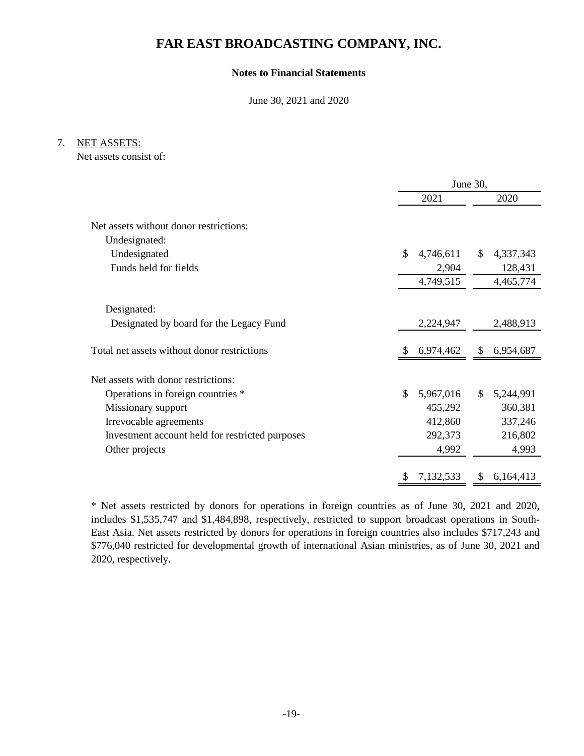### **Notes to Financial Statements**

June 30, 2021 and 2020

7. NET ASSETS:

Net assets consist of:

|                                                         | June 30, |           |              |           |
|---------------------------------------------------------|----------|-----------|--------------|-----------|
|                                                         | 2021     |           |              | 2020      |
| Net assets without donor restrictions:<br>Undesignated: |          |           |              |           |
| Undesignated                                            | \$       | 4,746,611 | \$           | 4,337,343 |
| Funds held for fields                                   |          | 2,904     |              | 128,431   |
|                                                         |          | 4,749,515 |              | 4,465,774 |
| Designated:<br>Designated by board for the Legacy Fund  |          | 2,224,947 |              | 2,488,913 |
| Total net assets without donor restrictions             |          | 6,974,462 | \$           | 6,954,687 |
| Net assets with donor restrictions:                     |          |           |              |           |
| Operations in foreign countries *                       | \$.      | 5,967,016 | $\mathbb{S}$ | 5,244,991 |
| Missionary support                                      |          | 455,292   |              | 360,381   |
| Irrevocable agreements                                  |          | 412,860   |              | 337,246   |
| Investment account held for restricted purposes         |          | 292,373   |              | 216,802   |
| Other projects                                          |          | 4,992     |              | 4,993     |
|                                                         | \$       | 7,132,533 | \$           | 6,164,413 |

\* Net assets restricted by donors for operations in foreign countries as of June 30, 2021 and 2020, includes \$1,535,747 and \$1,484,898, respectively, restricted to support broadcast operations in South-East Asia. Net assets restricted by donors for operations in foreign countries also includes \$717,243 and \$776,040 restricted for developmental growth of international Asian ministries, as of June 30, 2021 and 2020, respectively.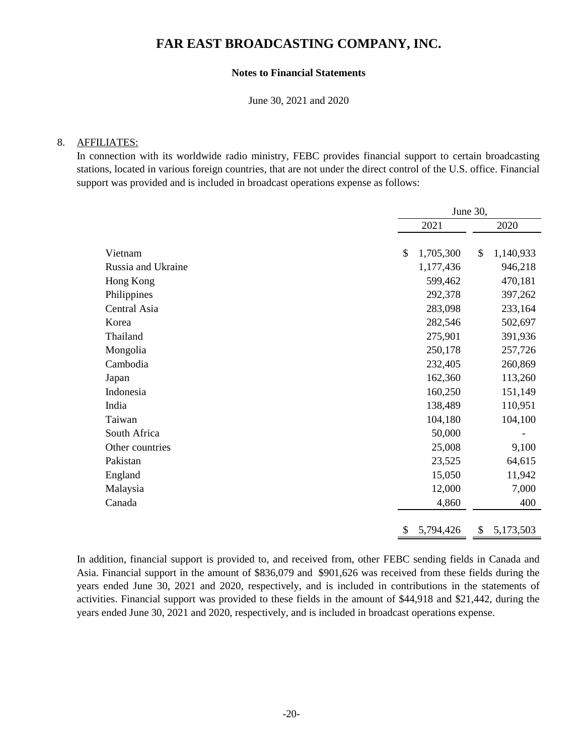### **Notes to Financial Statements**

June 30, 2021 and 2020

### 8. AFFILIATES:

In connection with its worldwide radio ministry, FEBC provides financial support to certain broadcasting stations, located in various foreign countries, that are not under the direct control of the U.S. office. Financial support was provided and is included in broadcast operations expense as follows:

|                    | June 30, |           |    |           |
|--------------------|----------|-----------|----|-----------|
|                    |          | 2021      |    | 2020      |
|                    |          |           |    |           |
| Vietnam            | \$       | 1,705,300 | \$ | 1,140,933 |
| Russia and Ukraine |          | 1,177,436 |    | 946,218   |
| Hong Kong          |          | 599,462   |    | 470,181   |
| Philippines        |          | 292,378   |    | 397,262   |
| Central Asia       |          | 283,098   |    | 233,164   |
| Korea              |          | 282,546   |    | 502,697   |
| Thailand           |          | 275,901   |    | 391,936   |
| Mongolia           |          | 250,178   |    | 257,726   |
| Cambodia           |          | 232,405   |    | 260,869   |
| Japan              |          | 162,360   |    | 113,260   |
| Indonesia          |          | 160,250   |    | 151,149   |
| India              |          | 138,489   |    | 110,951   |
| Taiwan             |          | 104,180   |    | 104,100   |
| South Africa       |          | 50,000    |    |           |
| Other countries    |          | 25,008    |    | 9,100     |
| Pakistan           |          | 23,525    |    | 64,615    |
| England            |          | 15,050    |    | 11,942    |
| Malaysia           |          | 12,000    |    | 7,000     |
| Canada             |          | 4,860     |    | 400       |
|                    |          |           |    |           |
|                    |          | 5,794,426 | \$ | 5,173,503 |

In addition, financial support is provided to, and received from, other FEBC sending fields in Canada and Asia. Financial support in the amount of \$836,079 and \$901,626 was received from these fields during the years ended June 30, 2021 and 2020, respectively, and is included in contributions in the statements of activities. Financial support was provided to these fields in the amount of \$44,918 and \$21,442, during the years ended June 30, 2021 and 2020, respectively, and is included in broadcast operations expense.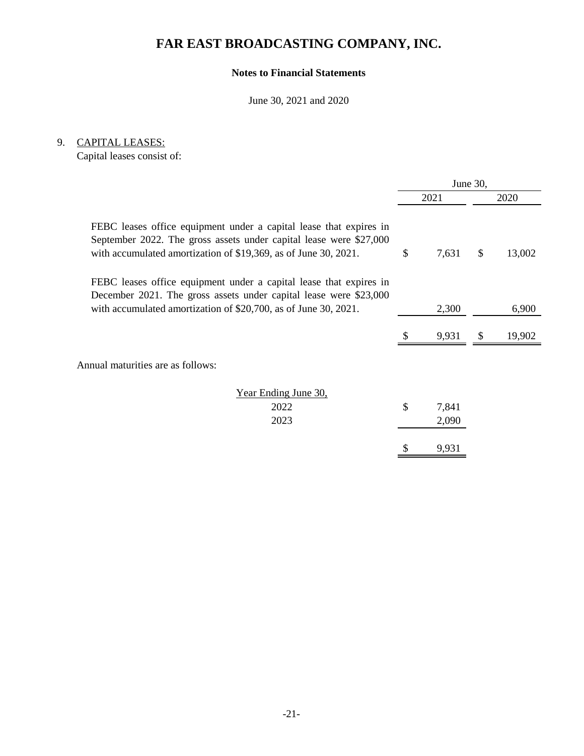### **Notes to Financial Statements**

June 30, 2021 and 2020

### 9. CAPITAL LEASES:

Capital leases consist of:

|                                                                                                                                                                                                             | June 30, |                |    |        |
|-------------------------------------------------------------------------------------------------------------------------------------------------------------------------------------------------------------|----------|----------------|----|--------|
|                                                                                                                                                                                                             | 2021     |                |    | 2020   |
| FEBC leases office equipment under a capital lease that expires in<br>September 2022. The gross assets under capital lease were \$27,000<br>with accumulated amortization of \$19,369, as of June 30, 2021. | \$       | 7,631          | \$ | 13,002 |
| FEBC leases office equipment under a capital lease that expires in<br>December 2021. The gross assets under capital lease were \$23,000<br>with accumulated amortization of \$20,700, as of June 30, 2021.  |          | 2,300          |    | 6,900  |
|                                                                                                                                                                                                             |          | 9,931          | \$ | 19,902 |
| Annual maturities are as follows:                                                                                                                                                                           |          |                |    |        |
| Year Ending June 30,<br>2022<br>2023                                                                                                                                                                        | \$       | 7,841<br>2,090 |    |        |
|                                                                                                                                                                                                             |          | 9,931          |    |        |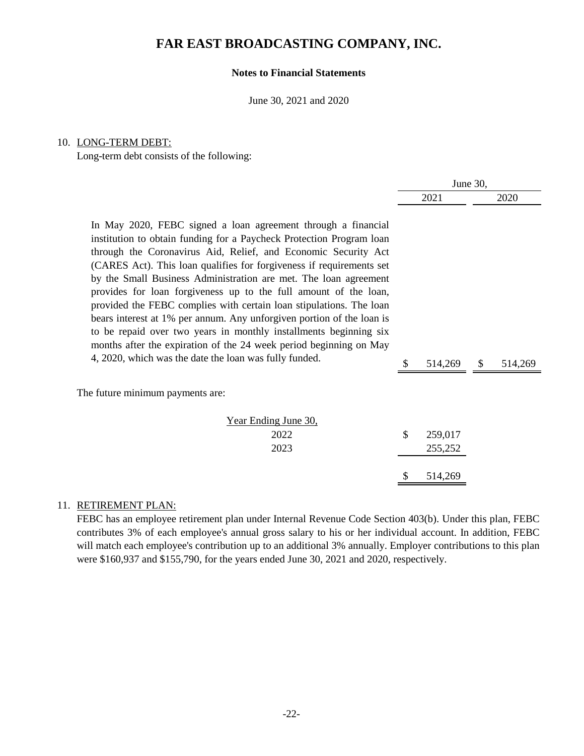### **Notes to Financial Statements**

June 30, 2021 and 2020

### 10. LONG-TERM DEBT:

Long-term debt consists of the following:

|                                                                                                                                                                                                                                                                                                                                                                                                                                                                                                                                                                                                                                                                                                                                                                              | June 30, |                    |    |         |
|------------------------------------------------------------------------------------------------------------------------------------------------------------------------------------------------------------------------------------------------------------------------------------------------------------------------------------------------------------------------------------------------------------------------------------------------------------------------------------------------------------------------------------------------------------------------------------------------------------------------------------------------------------------------------------------------------------------------------------------------------------------------------|----------|--------------------|----|---------|
|                                                                                                                                                                                                                                                                                                                                                                                                                                                                                                                                                                                                                                                                                                                                                                              |          | 2021               |    | 2020    |
| In May 2020, FEBC signed a loan agreement through a financial<br>institution to obtain funding for a Paycheck Protection Program loan<br>through the Coronavirus Aid, Relief, and Economic Security Act<br>(CARES Act). This loan qualifies for forgiveness if requirements set<br>by the Small Business Administration are met. The loan agreement<br>provides for loan forgiveness up to the full amount of the loan,<br>provided the FEBC complies with certain loan stipulations. The loan<br>bears interest at 1% per annum. Any unforgiven portion of the loan is<br>to be repaid over two years in monthly installments beginning six<br>months after the expiration of the 24 week period beginning on May<br>4, 2020, which was the date the loan was fully funded. |          | 514,269            | \$ | 514,269 |
| The future minimum payments are:                                                                                                                                                                                                                                                                                                                                                                                                                                                                                                                                                                                                                                                                                                                                             |          |                    |    |         |
| Year Ending June 30,<br>2022<br>2023                                                                                                                                                                                                                                                                                                                                                                                                                                                                                                                                                                                                                                                                                                                                         | \$       | 259,017<br>255,252 |    |         |
|                                                                                                                                                                                                                                                                                                                                                                                                                                                                                                                                                                                                                                                                                                                                                                              | \$       | 514,269            |    |         |

### 11. RETIREMENT PLAN:

FEBC has an employee retirement plan under Internal Revenue Code Section 403(b). Under this plan, FEBC contributes 3% of each employee's annual gross salary to his or her individual account. In addition, FEBC will match each employee's contribution up to an additional 3% annually. Employer contributions to this plan were \$160,937 and \$155,790, for the years ended June 30, 2021 and 2020, respectively.